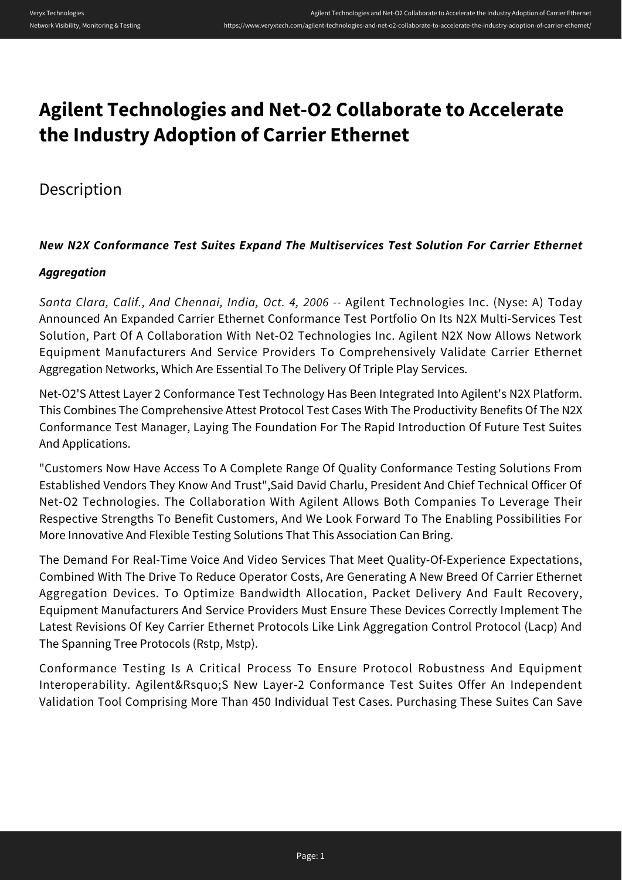# **Agilent Technologies and Net-O2 Collaborate to Accelerate the Industry Adoption of Carrier Ethernet**

## Description

### *New N2X Conformance Test Suites Expand The Multiservices Test Solution For Carrier Ethernet*

### *Aggregation*

*Santa Clara, Calif., And Chennai, India, Oct. 4, 2006 --* Agilent Technologies Inc. (Nyse: A) Today Announced An Expanded Carrier Ethernet Conformance Test Portfolio On Its N2X Multi-Services Test Solution, Part Of A Collaboration With Net-O2 Technologies Inc. Agilent N2X Now Allows Network Equipment Manufacturers And Service Providers To Comprehensively Validate Carrier Ethernet Aggregation Networks, Which Are Essential To The Delivery Of Triple Play Services.

Net-O2'S Attest Layer 2 Conformance Test Technology Has Been Integrated Into Agilent's N2X Platform. This Combines The Comprehensive Attest Protocol Test Cases With The Productivity Benefits Of The N2X Conformance Test Manager, Laying The Foundation For The Rapid Introduction Of Future Test Suites And Applications.

"Customers Now Have Access To A Complete Range Of Quality Conformance Testing Solutions From Established Vendors They Know And Trust",Said David Charlu, President And Chief Technical Officer Of Net-O2 Technologies. The Collaboration With Agilent Allows Both Companies To Leverage Their Respective Strengths To Benefit Customers, And We Look Forward To The Enabling Possibilities For More Innovative And Flexible Testing Solutions That This Association Can Bring.

The Demand For Real-Time Voice And Video Services That Meet Quality-Of-Experience Expectations, Combined With The Drive To Reduce Operator Costs, Are Generating A New Breed Of Carrier Ethernet Aggregation Devices. To Optimize Bandwidth Allocation, Packet Delivery And Fault Recovery, Equipment Manufacturers And Service Providers Must Ensure These Devices Correctly Implement The Latest Revisions Of Key Carrier Ethernet Protocols Like Link Aggregation Control Protocol (Lacp) And The Spanning Tree Protocols (Rstp, Mstp).

Conformance Testing Is A Critical Process To Ensure Protocol Robustness And Equipment Interoperability. Agilent&Rsquo;S New Layer-2 Conformance Test Suites Offer An Independent Validation Tool Comprising More Than 450 Individual Test Cases. Purchasing These Suites Can Save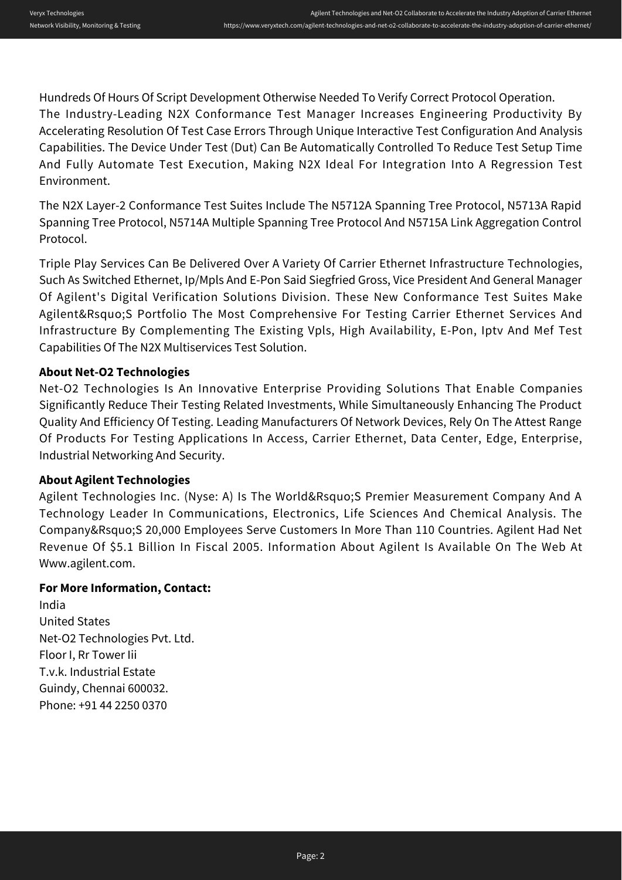Hundreds Of Hours Of Script Development Otherwise Needed To Verify Correct Protocol Operation. The Industry-Leading N2X Conformance Test Manager Increases Engineering Productivity By Accelerating Resolution Of Test Case Errors Through Unique Interactive Test Configuration And Analysis Capabilities. The Device Under Test (Dut) Can Be Automatically Controlled To Reduce Test Setup Time And Fully Automate Test Execution, Making N2X Ideal For Integration Into A Regression Test Environment.

The N2X Layer-2 Conformance Test Suites Include The N5712A Spanning Tree Protocol, N5713A Rapid Spanning Tree Protocol, N5714A Multiple Spanning Tree Protocol And N5715A Link Aggregation Control Protocol.

Triple Play Services Can Be Delivered Over A Variety Of Carrier Ethernet Infrastructure Technologies, Such As Switched Ethernet, Ip/Mpls And E-Pon Said Siegfried Gross, Vice President And General Manager Of Agilent's Digital Verification Solutions Division. These New Conformance Test Suites Make Agilent&Rsquo;S Portfolio The Most Comprehensive For Testing Carrier Ethernet Services And Infrastructure By Complementing The Existing Vpls, High Availability, E-Pon, Iptv And Mef Test Capabilities Of The N2X Multiservices Test Solution.

### **About Net-O2 Technologies**

Net-O2 Technologies Is An Innovative Enterprise Providing Solutions That Enable Companies Significantly Reduce Their Testing Related Investments, While Simultaneously Enhancing The Product Quality And Efficiency Of Testing. Leading Manufacturers Of Network Devices, Rely On The Attest Range Of Products For Testing Applications In Access, Carrier Ethernet, Data Center, Edge, Enterprise, Industrial Networking And Security.

### **About Agilent Technologies**

Agilent Technologies Inc. (Nyse: A) Is The World&Rsquo;S Premier Measurement Company And A Technology Leader In Communications, Electronics, Life Sciences And Chemical Analysis. The Company&Rsquo;S 20,000 Employees Serve Customers In More Than 110 Countries. Agilent Had Net Revenue Of \$5.1 Billion In Fiscal 2005. Information About Agilent Is Available On The Web At Www.agilent.com.

### **For More Information, Contact:**

India United States Net-O2 Technologies Pvt. Ltd. Floor I, Rr Tower Iii T.v.k. Industrial Estate Guindy, Chennai 600032. Phone: +91 44 2250 0370